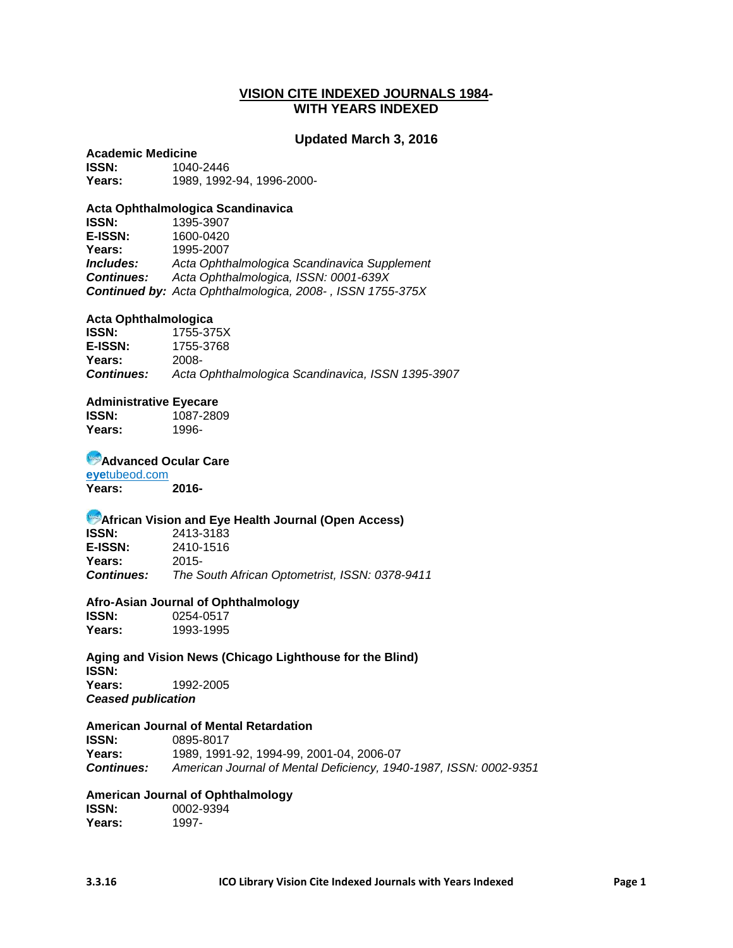#### **VISION CITE INDEXED JOURNALS 1984- WITH YEARS INDEXED**

#### **Updated March 3, 2016**

**Academic Medicine**<br>**ISSN:** 1040 **ISSN:** 1040-2446 **Years:** 1989, 1992-94, 1996-2000-

#### **Acta Ophthalmologica Scandinavica**

**ISSN:** 1395-3907 **E-ISSN:** 1600-0420 **Years:** 1995-2007 *Includes: Acta Ophthalmologica Scandinavica Supplement Continues: Acta Ophthalmologica, ISSN: 0001-639X Continued by: Acta Ophthalmologica, 2008- , ISSN 1755-375X*

#### **Acta Ophthalmologica**

**ISSN:** 1755-375X<br>**E-ISSN:** 1755-3768 **E-ISSN:** 1755-3768 **Years:** 2008- *Continues: Acta Ophthalmologica Scandinavica, ISSN 1395-3907*

#### **Administrative Eyecare**

**ISSN:** 1087-2809 **Years:** 1996-

#### **Advanced Ocular Care**

**eye**tubeod.com **Years: 2016-**

# **African Vision and Eye Health Journal (Open Access)**<br>ISSN: 2413-3183

**ISSN:** 2413-3183 **E-ISSN:** 2410-1516 **Years:** 2015- *Continues: The South African Optometrist, ISSN: 0378-9411*

#### **Afro-Asian Journal of Ophthalmology**

**ISSN:** 0254-0517 **Years:** 1993-1995

#### **Aging and Vision News (Chicago Lighthouse for the Blind) ISSN:**

**Years:** 1992-2005 *Ceased publication*

#### **American Journal of Mental Retardation**

**ISSN:** 0895-8017 **Years:** 1989, 1991-92, 1994-99, 2001-04, 2006-07 *Continues: American Journal of Mental Deficiency, 1940-1987, ISSN: 0002-9351*

#### **American Journal of Ophthalmology**

**ISSN:** 0002-9394<br>**Years:** 1997-Years: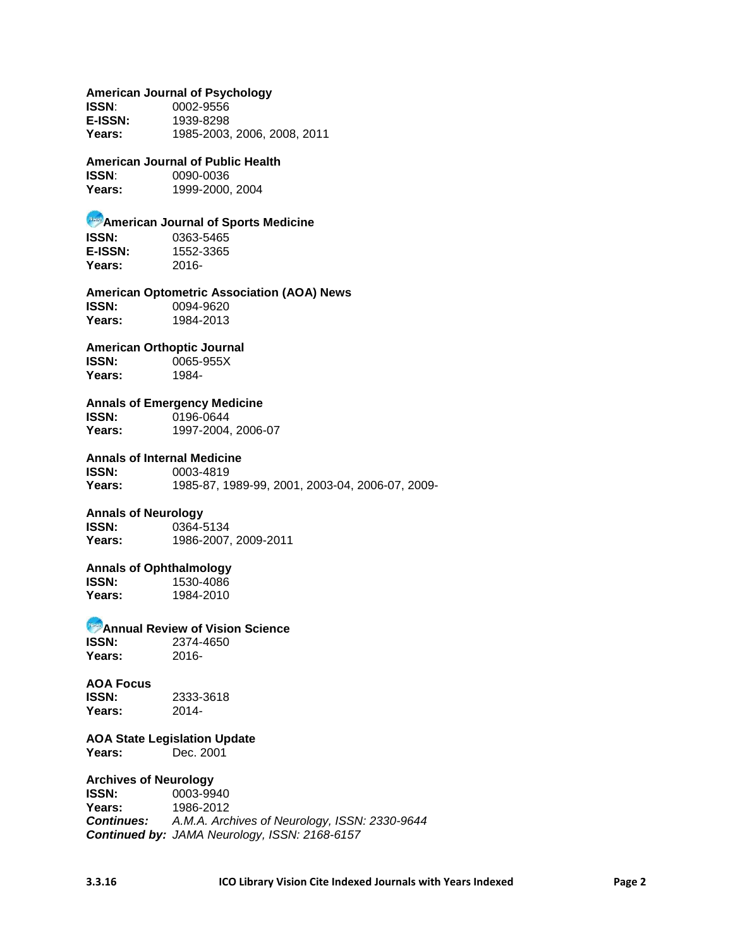#### **American Journal of Psychology**

| <b>ISSN:</b>   | 0002-9556                   |
|----------------|-----------------------------|
| <b>E-ISSN:</b> | 1939-8298                   |
| Years:         | 1985-2003, 2006, 2008, 2011 |

#### **American Journal of Public Health**

**ISSN**: 0090-0036 **Years:** 1999-2000, 2004

### **American Journal of Sports Medicine**

**ISSN:** 0363-5465 **E-ISSN:** 1552-3365 **Years:** 2016-

**American Optometric Association (AOA) News ISSN:** 0094-9620 **Years:** 1984-2013

#### **American Orthoptic Journal**

**ISSN:** 0065-955X **Years:** 1984-

### **Annals of Emergency Medicine**

**ISSN:** 0196-0644 **Years:** 1997-2004, 2006-07

#### **Annals of Internal Medicine**

**ISSN:** 0003-4819 **Years:** 1985-87, 1989-99, 2001, 2003-04, 2006-07, 2009-

# **Annals of Neurology**

**ISSN:** 0364-5134 **Years:** 1986-2007, 2009-2011

#### **Annals of Ophthalmology**

**ISSN:** 1530-4086<br> **Years:** 1984-2010 **Years:** 1984-2010

**Annual Review of Vision Science**

**ISSN:** 2374-4650<br>Years: 2016-Years:

#### **AOA Focus**

**ISSN:** 2333-3618 **Years:** 2014-

#### **AOA State Legislation Update Years:** Dec. 2001

### **Archives of Neurology**

**ISSN:** 0003-9940 **Years:** 1986-2012 *Continues: [A.M.A. Archives of Neurology, ISSN: 2330-9644](https://catalyst.library.jhu.edu/catalog?q=%222330-9644%22&search_field=number&suppress_spellcheck=1) Continued by: JAMA Neurology, ISSN: 2168-6157*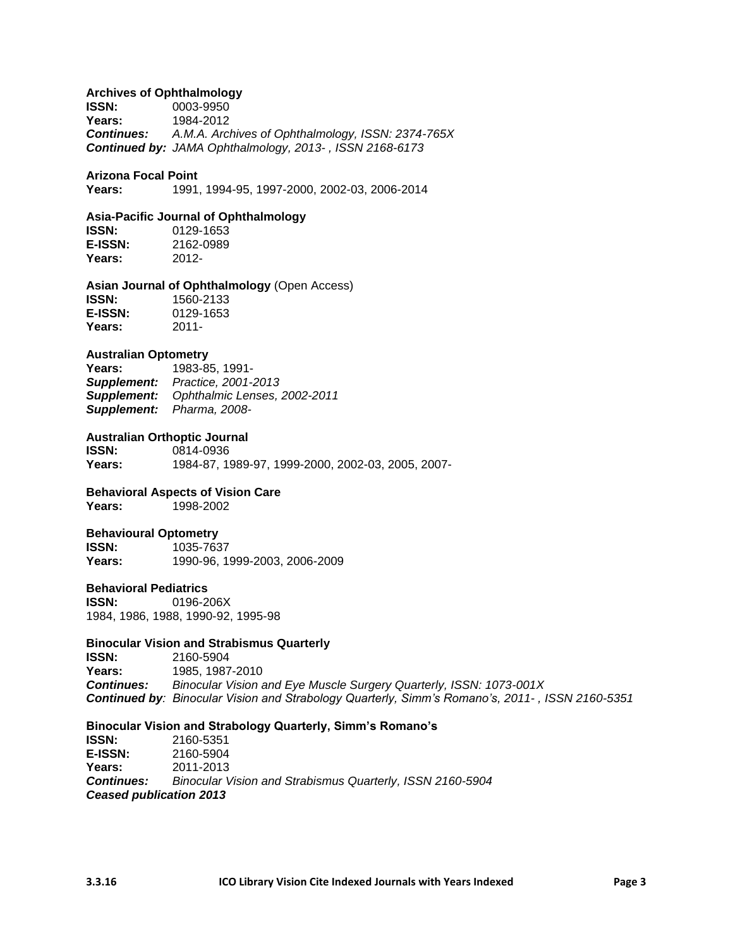#### **Archives of Ophthalmology**

**ISSN:** 0003-9950 **Years:** 1984-2012<br>**Continues:** A.M.A. Arc. *Continues: [A.M.A. Archives of Ophthalmology, ISSN: 2374-765X](https://catalyst.library.jhu.edu/catalog?q=%222374-765X%22&search_field=number&suppress_spellcheck=1) Continued by: JAMA Ophthalmology, 2013- , ISSN 2168-6173*

#### **Arizona Focal Point**

**Years:** 1991, 1994-95, 1997-2000, 2002-03, 2006-2014

#### **Asia-Pacific Journal of Ophthalmology**

**ISSN:** 0129-1653 **E-ISSN:** 2162-0989 **Years:** 2012-

**Asian Journal of Ophthalmology** (Open Access) **ISSN:** 1560-2133 **E-ISSN:** 0129-1653 **Years:** 2011-

#### **Australian Optometry**

**Years:** 1983-85, 1991- *Supplement: Practice, 2001-2013 Supplement: Ophthalmic Lenses, 2002-2011 Supplement: Pharma, 2008-*

#### **Australian Orthoptic Journal**

**ISSN:** 0814-0936 **Years:** 1984-87, 1989-97, 1999-2000, 2002-03, 2005, 2007-

#### **Behavioral Aspects of Vision Care**

**Years:** 1998-2002

#### **Behavioural Optometry**

**ISSN:** 1035-7637 **Years:** 1990-96, 1999-2003, 2006-2009

#### **Behavioral Pediatrics**

**ISSN:** 0196-206X 1984, 1986, 1988, 1990-92, 1995-98

#### **Binocular Vision and Strabismus Quarterly**

**ISSN:** 2160-5904<br>**Years:** 1985–1987 **Years:** 1985, 1987-2010 *Continues: [Binocular Vision and Eye Muscle Surgery Quarterly, ISSN: 1073-001X](https://catalyst.library.jhu.edu/catalog?q=%221073-001X%22&search_field=number&suppress_spellcheck=1) Continued by: Binocular Vision and Strabology Quarterly, Simm's Romano's, 2011- , ISSN 2160-5351*

#### **Binocular Vision and Strabology Quarterly, Simm's Romano's**

**ISSN:** 2160-5351 **E-ISSN:** 2160-5904 **Years:** 2011-2013 *Continues: Binocular Vision and Strabismus Quarterly, ISSN 2160-5904 Ceased publication 2013*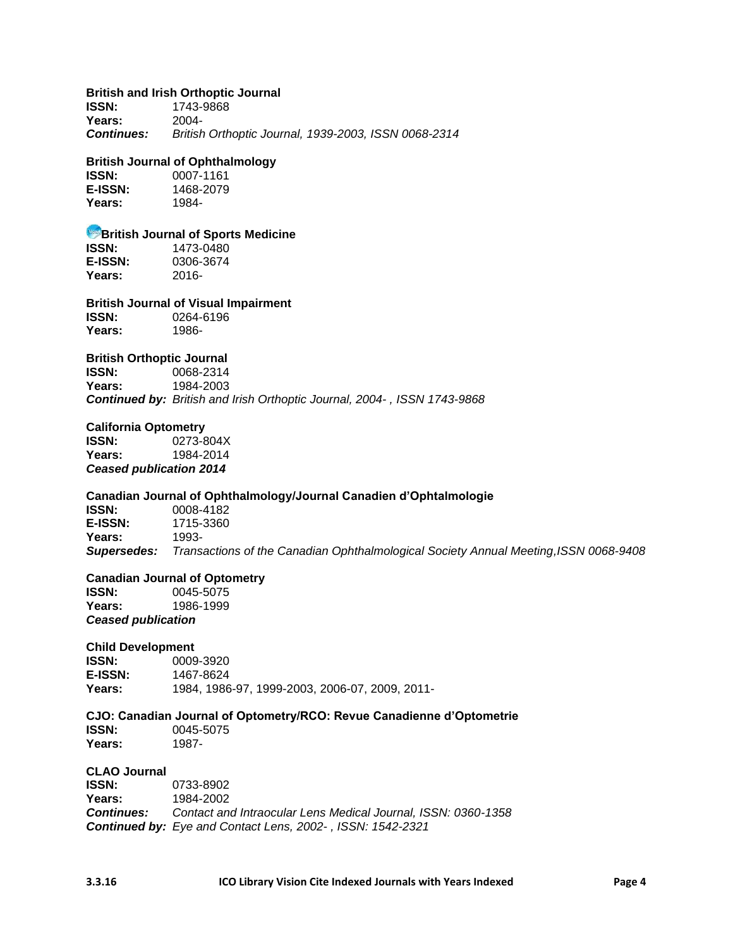#### **British and Irish Orthoptic Journal**

**ISSN:** 1743-9868 **Years:** 2004- *Continues: British Orthoptic Journal, 1939-2003, ISSN 0068-2314*

#### **British Journal of Ophthalmology**

**ISSN:** 0007-1161 **E-ISSN:** 1468-2079 **Years:** 1984-

# **British Journal of Sports Medicine**<br>**ISSN:** 1473-0480

**ISSN:** 1473-0480 **E-ISSN:** 0306-3674 **Years:** 2016-

### **British Journal of Visual Impairment**

**ISSN:** 0264-6196 **Years:** 1986-

#### **British Orthoptic Journal**

**ISSN:** 0068-2314 **Years:** 1984-2003 *Continued by: British and Irish Orthoptic Journal, 2004- , ISSN 1743-9868*

#### **California Optometry**

**ISSN:** 0273-804X **Years:** 1984-2014 *Ceased publication 2014*

#### **Canadian Journal of Ophthalmology/Journal Canadien d'Ophtalmologie**

**ISSN:** 0008-4182 **E-ISSN:** 1715-3360 **Years:** 1993- *Supersedes: Transactions of the Canadian Ophthalmological Society Annual Meeting,ISSN 0068-9408*

### **Canadian Journal of Optometry<br>ISSN:** 0045-5075

**ISSN:** 0045-5075 **Years:** 1986-1999 *Ceased publication*

#### **Child Development**

**ISSN:** 0009-3920<br>**E-ISSN:** 1467-8624 **E-ISSN:** 1467-8624 **Years:** 1984, 1986-97, 1999-2003, 2006-07, 2009, 2011-

#### **CJO: Canadian Journal of Optometry/RCO: Revue Canadienne d'Optometrie ISSN:** 0045-5075<br>**Years:** 1987-Years:

**CLAO Journal ISSN:** 0733-8902 **Years:** 1984-2002

*Continues: [Contact and Intraocular Lens Medical Journal, ISSN: 0360-1358](https://catalyst.library.jhu.edu/catalog?q=%220360-1358%22&search_field=number&suppress_spellcheck=1) Continued by: [Eye and Contact Lens,](https://catalyst.library.jhu.edu/catalog?q=%22Eye+and+contact+lens%22&suppress_spellcheck=1) 2002- , ISSN: 1542-2321*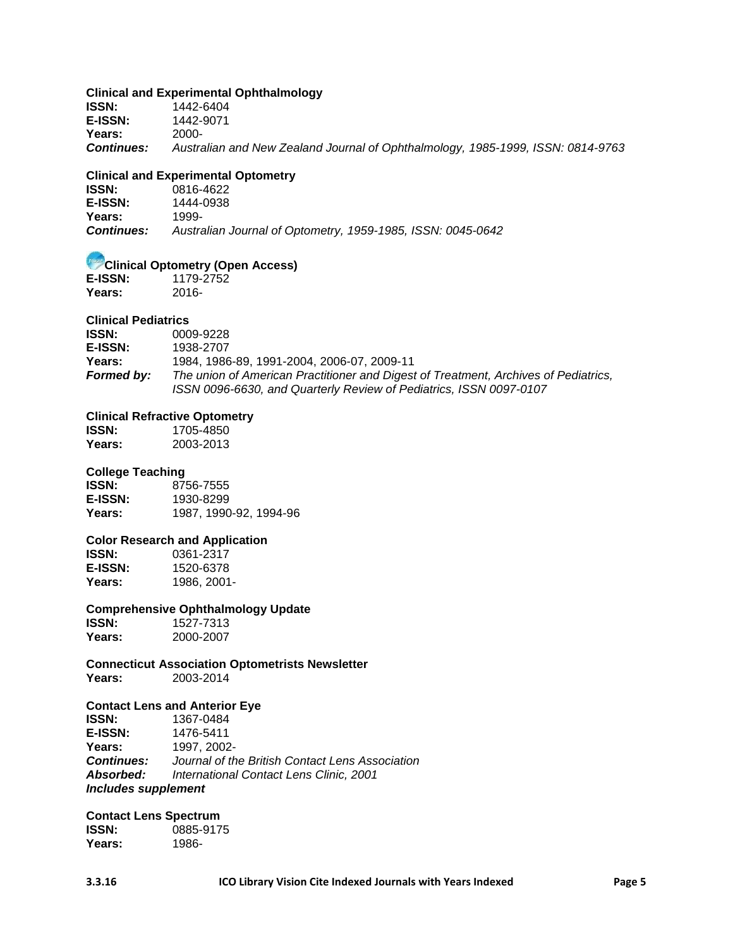#### **Clinical and Experimental Ophthalmology**

**ISSN:** 1442-6404 **E-ISSN:** 1442-9071 **Years:** 2000- *Continues: [Australian and New Zealand Journal of Ophthalmology, 1985-1999,](https://catalyst.library.jhu.edu/catalog?q=%220814-9763%22&search_field=number&suppress_spellcheck=1) ISSN: 0814-9763*

#### **Clinical and Experimental Optometry**

| <b>ISSN:</b>      | 0816-4622                                                   |
|-------------------|-------------------------------------------------------------|
| <b>E-ISSN:</b>    | 1444-0938                                                   |
| Years:            | 1999-                                                       |
| <b>Continues:</b> | Australian Journal of Optometry, 1959-1985, ISSN: 0045-0642 |

# **Clinical Optometry (Open Access)**<br>E-ISSN: 1179-2752

**E-ISSN:** 1179-2752 **Years:** 2016-

#### **Clinical Pediatrics**

| <b>ISSN:</b> | 0009-9228                                                                           |
|--------------|-------------------------------------------------------------------------------------|
| E-ISSN:      | 1938-2707                                                                           |
| Years:       | 1984. 1986-89. 1991-2004. 2006-07. 2009-11                                          |
| Formed by:   | The union of American Practitioner and Digest of Treatment, Archives of Pediatrics, |
|              | ISSN 0096-6630, and Quarterly Review of Pediatrics, ISSN 0097-0107                  |

#### **Clinical Refractive Optometry**

**ISSN:** 1705-4850<br> **Years:** 2003-2013 **Years:** 2003-2013

#### **College Teaching**

**ISSN:** 8756-7555 **E-ISSN:** 1930-8299<br>**Years:** 1987, 1990 **Years:** 1987, 1990-92, 1994-96

# **Color Research and Application**

**ISSN:** 0361-2317<br>**E-ISSN:** 1520-6378 **E-ISSN:** 1520-6378 **Years:** 1986, 2001-

#### **Comprehensive Ophthalmology Update**

**ISSN:** 1527-7313<br> **Years:** 2000-2007 **Years:** 2000-2007

**Connecticut Association Optometrists Newsletter Years:** 2003-2014

# **Contact Lens and Anterior Eye**

**ISSN:** 1367-0484 **E-ISSN:** 1476-5411 **Years:** 1997, 2002- *Continues: Journal of the British Contact Lens Association Absorbed: International Contact Lens Clinic, 2001 Includes supplement*

### **Contact Lens Spectrum**

**ISSN:** 0885-9175 **Years:** 1986-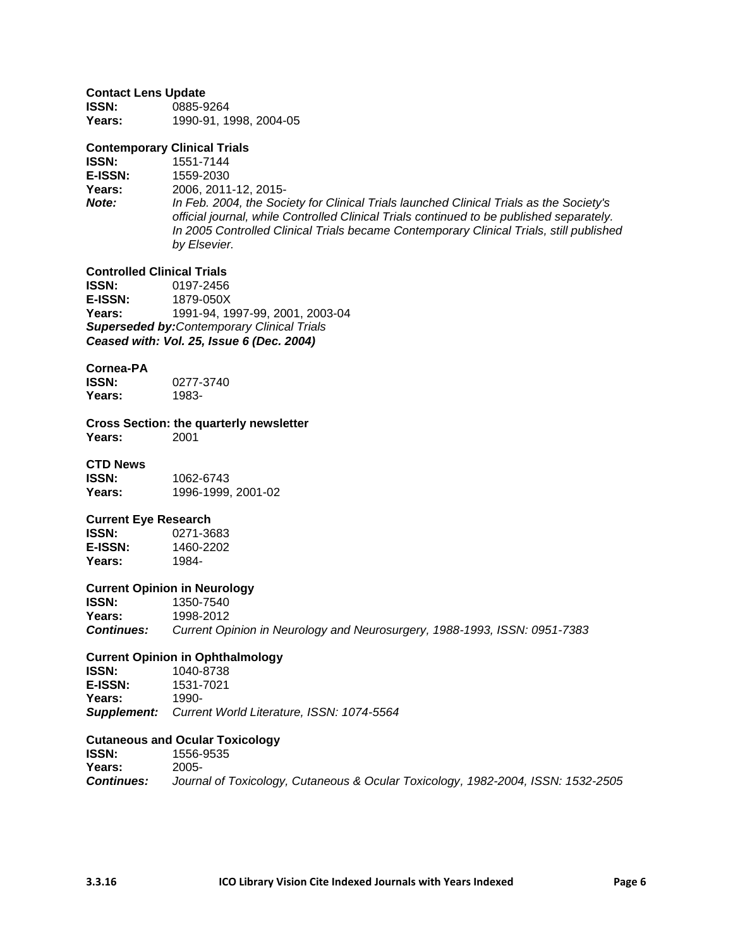#### **Contact Lens Update**

| <b>ISSN:</b> | 0885-9264              |
|--------------|------------------------|
| Years:       | 1990-91, 1998, 2004-05 |

#### **Contemporary Clinical Trials**

**ISSN:** 1551-7144<br>**E-ISSN:** 1559-2030

**E-ISSN:** 1559-2030

**Years:** 2006, 2011-12, 2015-

*Note: In Feb. 2004, the Society for Clinical Trials launched Clinical Trials as the Society's official journal, while Controlled Clinical Trials continued to be published separately. In 2005 Controlled Clinical Trials became Contemporary Clinical Trials, still published by Elsevier.*

# **Controlled Clinical Trials<br>ISSN:** 0197-2456

**ISSN:** 0197-2456<br>**E-ISSN:** 1879-050X **E-ISSN:** 1879-050X **Years:** 1991-94, 1997-99, 2001, 2003-04 *Superseded by:Contemporary Clinical Trials Ceased with: Vol. 25, Issue 6 (Dec. 2004)*

#### **Cornea-PA**

| ISSN:  | 0277-3740 |
|--------|-----------|
| Years: | 1983-     |

**Cross Section: the quarterly newsletter Years:** 2001

#### **CTD News**

**ISSN:** 1062-6743 **Years:** 1996-1999, 2001-02

#### **Current Eye Research**

| ISSN:          | 0271-3683 |
|----------------|-----------|
| <b>E-ISSN:</b> | 1460-2202 |
| Years:         | 1984-     |

#### **Current Opinion in Neurology**

**ISSN:** 1350-7540 **Years:** 1998-2012 *Continues: [Current Opinion in Neurology and Neurosurgery, 1988-1993, ISSN: 0951-7383](https://catalyst.library.jhu.edu/catalog?q=%220951-7383%22&search_field=number&suppress_spellcheck=1)*

# **Current Opinion in Ophthalmology**

**ISSN:** 1040-8738<br>**E-ISSN:** 1531-7021 **E-ISSN:** 1531-7021 **Years:** 1990- *Supplement: Current World Literature, ISSN: 1074-5564*

#### **Cutaneous and Ocular Toxicology**

**ISSN:** 1556-9535 **Years:** 2005- *Continues: Journal of Toxicology, Cutaneous & Ocular Toxicology, 1982-2004, ISSN: 1532-2505*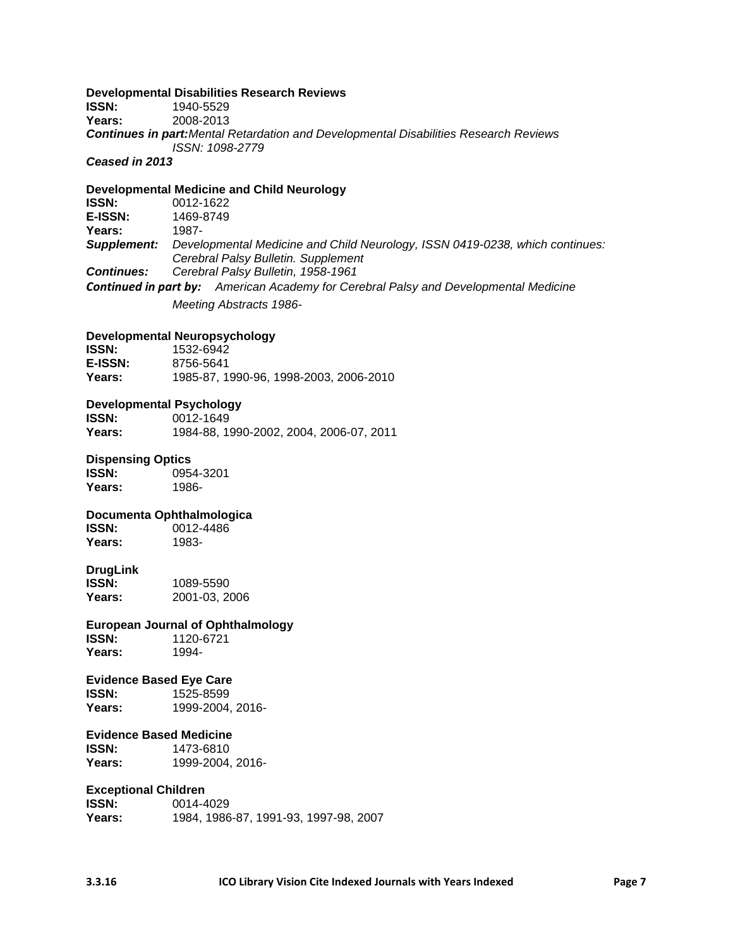#### **Developmental Disabilities Research Reviews**

**ISSN:** 1940-5529 **Years:** 2008-2013 *Continues in part:Mental Retardation and Developmental Disabilities Research Reviews ISSN: 1098-2779*

*Ceased in 2013*

#### **Developmental Medicine and Child Neurology ISSN:** 0012-1622<br>**E-ISSN:** 1469-8749 **E-ISSN:** 1469-8749 **Years:** 1987- *Supplement: Developmental Medicine and Child Neurology, ISSN 0419-0238, which continues: [Cerebral Palsy Bulletin. Supplement](https://catalyst.library.jhu.edu/catalog?q=%22Cerebral+palsy+bulletin.+Supplement%22&suppress_spellcheck=1) Continues: [Cerebral Palsy Bulletin,](https://catalyst.library.jhu.edu/catalog?q=%22Cerebral+palsy+bulletin%22&suppress_spellcheck=1) 1958-1961 Continued in part by: [American Academy for Cerebral Palsy and Developmental Medicine](https://catalyst.library.jhu.edu/catalog?q=%22American+Academy+For+Cerebral+Palsy+%26+Developmental+Medicine.+Meeting.%22+%22Abstracts%22&suppress_spellcheck=1) [Meeting Abstracts 1986-](https://catalyst.library.jhu.edu/catalog?q=%22American+Academy+For+Cerebral+Palsy+%26+Developmental+Medicine.+Meeting.%22+%22Abstracts%22&suppress_spellcheck=1)*

#### **Developmental Neuropsychology**

| <b>ISSN:</b> | 1532-6942                              |
|--------------|----------------------------------------|
| E-ISSN:      | 8756-5641                              |
| Years:       | 1985-87, 1990-96, 1998-2003, 2006-2010 |

#### **Developmental Psychology**

| <b>ISSN:</b> | 0012-1649                               |
|--------------|-----------------------------------------|
| Years:       | 1984-88, 1990-2002, 2004, 2006-07, 2011 |

# **Dispensing Optics**

**ISSN:** 0954-3201 **Years:** 1986-

#### **Documenta Ophthalmologica**

**ISSN:** 0012-4486 **Years:** 1983-

### **DrugLink**

**ISSN:** 1089-5590 **Years:** 2001-03, 2006

**European Journal of Ophthalmology ISSN:** 1120-6721

Years:

#### **Evidence Based Eye Care**

**ISSN:** 1525-8599 **Years:** 1999-2004, 2016-

#### **Evidence Based Medicine**

**ISSN:** 1473-6810 **Years:** 1999-2004, 2016-

#### **Exceptional Children**

| <b>ISSN:</b> | 0014-4029                             |
|--------------|---------------------------------------|
| Years:       | 1984, 1986-87, 1991-93, 1997-98, 2007 |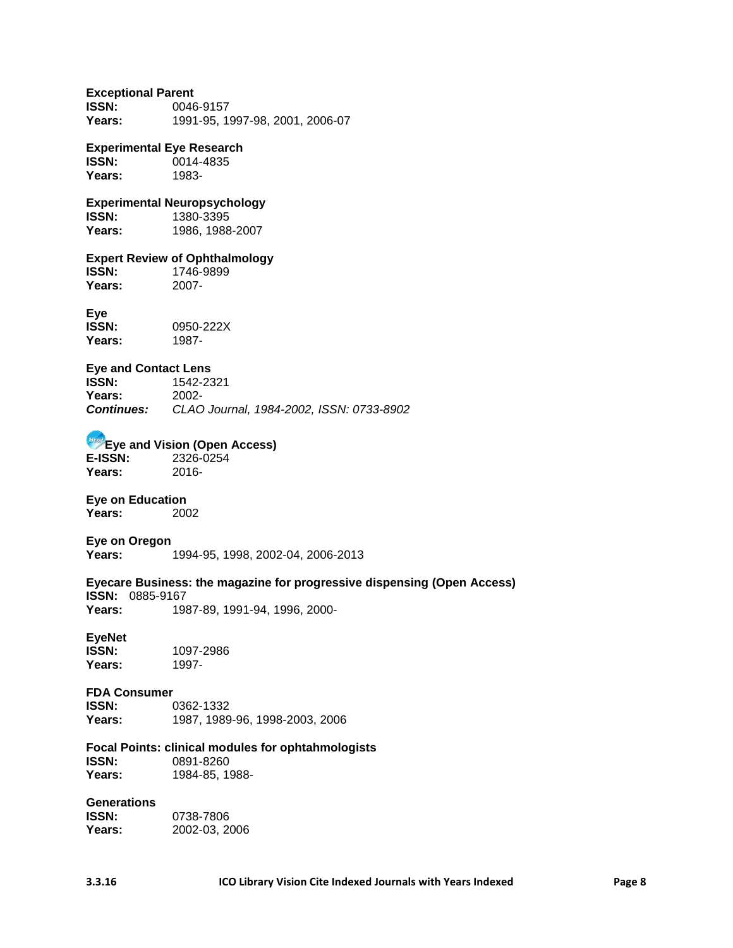#### **Exceptional Parent**

**ISSN:** 0046-9157 **Years:** 1991-95, 1997-98, 2001, 2006-07

#### **Experimental Eye Research**

**ISSN:** 0014-4835 **Years:** 1983-

# **Experimental Neuropsychology**

**ISSN:** 1380-3395<br>**Years:** 1986.1988 **Years:** 1986, 1988-2007

### **Expert Review of Ophthalmology**

**ISSN:** 1746-9899<br>**Years:** 2007-Years:

### **Eye**

| ISSN:  | 0950-222X |
|--------|-----------|
| Years: | 1987-     |

#### **Eye and Contact Lens**

| <b>ISSN:</b>      | 1542-2321                                |
|-------------------|------------------------------------------|
| Years:            | 2002-                                    |
| <b>Continues:</b> | CLAO Journal, 1984-2002, ISSN: 0733-8902 |

#### **Eye and Vision (Open Access)**

**E-ISSN:** 2326-0254 **Years:** 2016-

#### **Eye on Education**

**Years:** 2002

#### **Eye on Oregon Years:** 1994-95, 1998, 2002-04, 2006-2013

#### **Eyecare Business: the magazine for progressive dispensing (Open Access) ISSN:** 0885-9167 **Years:** 1987-89, 1991-94, 1996, 2000-

# **EyeNet**

1097-2986<br>1997-Years:

# **FDA Consumer**

**ISSN:** 0362-1332 **Years:** 1987, 1989-96, 1998-2003, 2006

#### **Focal Points: clinical modules for ophtahmologists**

**ISSN:** 0891-8260 Years: 1984-85, 1988-

# **Generations**

**ISSN:** 0738-7806<br>**Years:** 2002-03.2 **Years:** 2002-03, 2006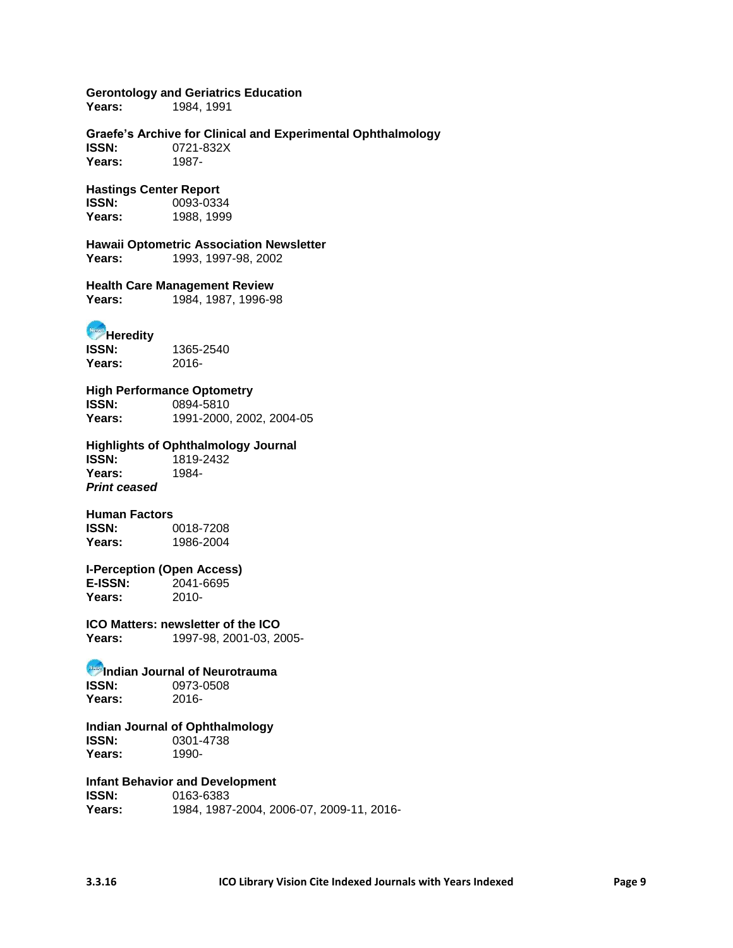**Gerontology and Geriatrics Education**

**Years:** 1984, 1991

**Graefe's Archive for Clinical and Experimental Ophthalmology ISSN:** 0721-832X **Years:** 1987-

#### **Hastings Center Report**

**ISSN:** 0093-0334<br> **Years:** 1988.1999 **Years:** 1988, 1999

**Hawaii Optometric Association Newsletter Years:** 1993, 1997-98, 2002

**Health Care Management Review Years:** 1984, 1987, 1996-98

**Heredity ISSN:** 1365-2540

**Years:** 2016-

**High Performance Optometry ISSN:** 0894-5810 **Years:** 1991-2000, 2002, 2004-05

**Highlights of Ophthalmology Journal ISSN:** 1819-2432 **Years:** 1984- *Print ceased*

**Human Factors ISSN:** 0018-7208<br> **Years:** 1986-2004 **Years:** 1986-2004

**I-Perception (Open Access) E-ISSN:** 2041-6695 **Years:** 2010-

**ICO Matters: newsletter of the ICO Years:** 1997-98, 2001-03, 2005-

# **Indian Journal of Neurotrauma**<br>**ISSN:** 0973-0508

**ISSN:** 0973-0508 **Years:** 2016-

**Indian Journal of Ophthalmology ISSN:** 0301-4738 **Years:** 1990-

**Infant Behavior and Development**

**ISSN:** 0163-6383 **Years:** 1984, 1987-2004, 2006-07, 2009-11, 2016-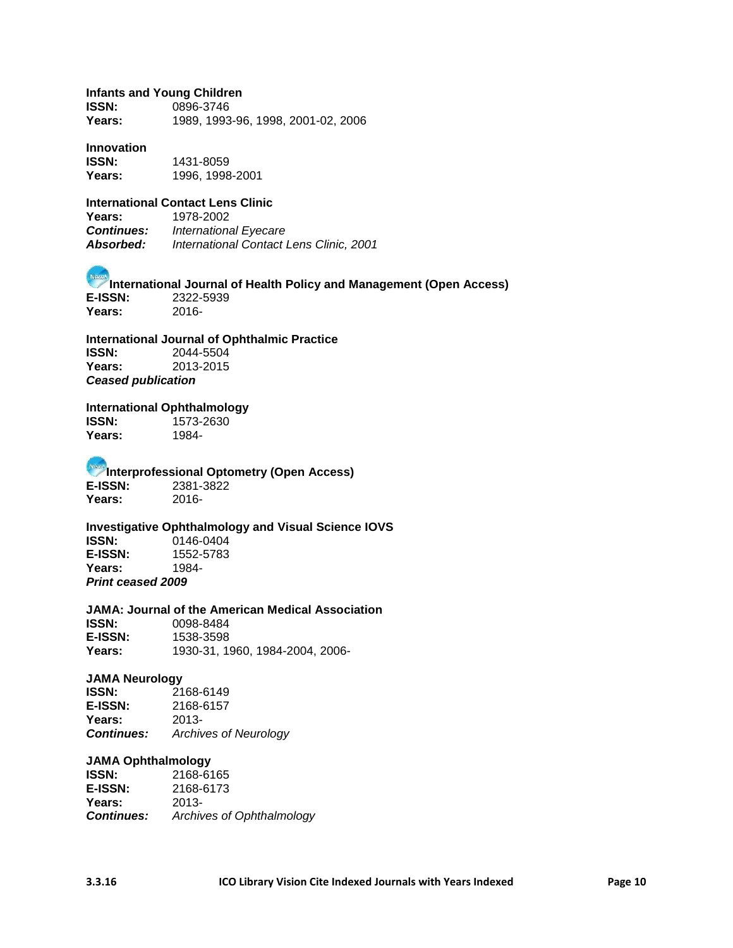#### **Infants and Young Children**

**ISSN:** 0896-3746 **Years:** 1989, 1993-96, 1998, 2001-02, 2006

#### **Innovation**

**ISSN:** 1431-8059 **Years:** 1996, 1998-2001

### **International Contact Lens Clinic**

**Years:** 1978-2002 **International Eyecare** *Absorbed: International Contact Lens Clinic, 2001*

**International Journal of Health Policy and Management (Open Access) E-ISSN:** 2322-5939 **Years:** 2016-

**International Journal of Ophthalmic Practice ISSN:** 2044-5504 **Years:** 2013-2015 *Ceased publication*

# **International Ophthalmology**

**ISSN:** 1573-2630 **Years:** 1984-

**Interprofessional Optometry (Open Access) E-ISSN:** 2381-3822 **Years:** 2016-

**Investigative Ophthalmology and Visual Science IOVS ISSN:** 0146-0404<br>**E-ISSN:** 1552-5783 **E-ISSN:** 1552-5783 **Years:** 1984- *Print ceased 2009*

#### **JAMA: Journal of the American Medical Association**

**ISSN:** 0098-8484 **E-ISSN:** 1538-3598 **Years:** 1930-31, 1960, 1984-2004, 2006-

#### **JAMA Neurology**

**ISSN:** 2168-6149<br>**E-ISSN:** 2168-6157 **E-ISSN:** 2168-6157 **Years:** 2013- *Continues: Archives of Neurology*

#### **JAMA Ophthalmology**

**ISSN:** 2168-6165 **E-ISSN:** 2168-6173 **Years:** 2013- *Continues: Archives of Ophthalmology*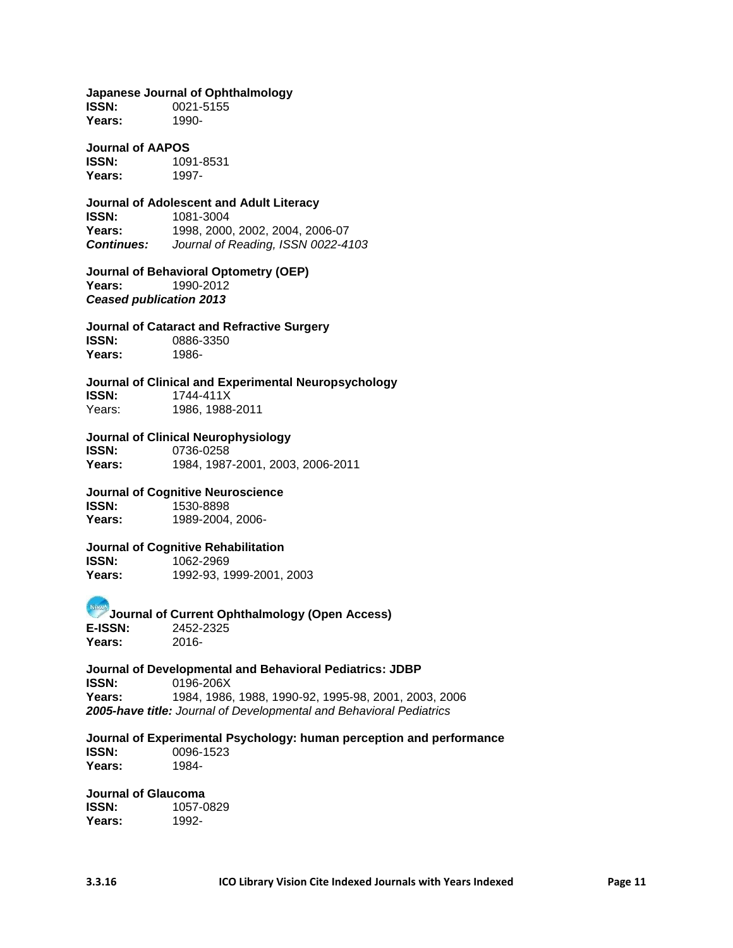#### **Japanese Journal of Ophthalmology**

**ISSN:** 0021-5155 **Years:** 1990-

### **Journal of AAPOS**

**ISSN:** 1091-8531<br>**Years:** 1997-Years:

# **Journal of Adolescent and Adult Literacy**

**ISSN:** 1081-3004 **Years:** 1998, 2000, 2002, 2004, 2006-07 *Continues: Journal of Reading, ISSN 0022-4103*

**Journal of Behavioral Optometry (OEP) Years:** 1990-2012 *Ceased publication 2013*

#### **Journal of Cataract and Refractive Surgery**

**ISSN:** 0886-3350 **Years:** 1986-

### **Journal of Clinical and Experimental Neuropsychology**

**ISSN:** 1744-411X Years: 1986, 1988-2011

#### **Journal of Clinical Neurophysiology**

**ISSN:** 0736-0258<br>**Years:** 1984, 1987 **Years:** 1984, 1987-2001, 2003, 2006-2011

### **Journal of Cognitive Neuroscience**

**ISSN:** 1530-8898 **Years:** 1989-2004, 2006-

### **Journal of Cognitive Rehabilitation**

**ISSN:** 1062-2969 **Years:** 1992-93, 1999-2001, 2003

#### **Journal of Current Ophthalmology (Open Access)**<br>E-ISSN: 2452-2325 **E-ISSN:** 2452-2325 **Years:** 2016-

**Journal of Developmental and Behavioral Pediatrics: JDBP ISSN:** 0196-206X **Years:** 1984, 1986, 1988, 1990-92, 1995-98, 2001, 2003, 2006 *2005-have title: Journal of Developmental and Behavioral Pediatrics*

### **Journal of Experimental Psychology: human perception and performance ISSN:** 0096-1523

**Years:** 1984-

#### **Journal of Glaucoma**

**ISSN:** 1057-0829 **Years:** 1992-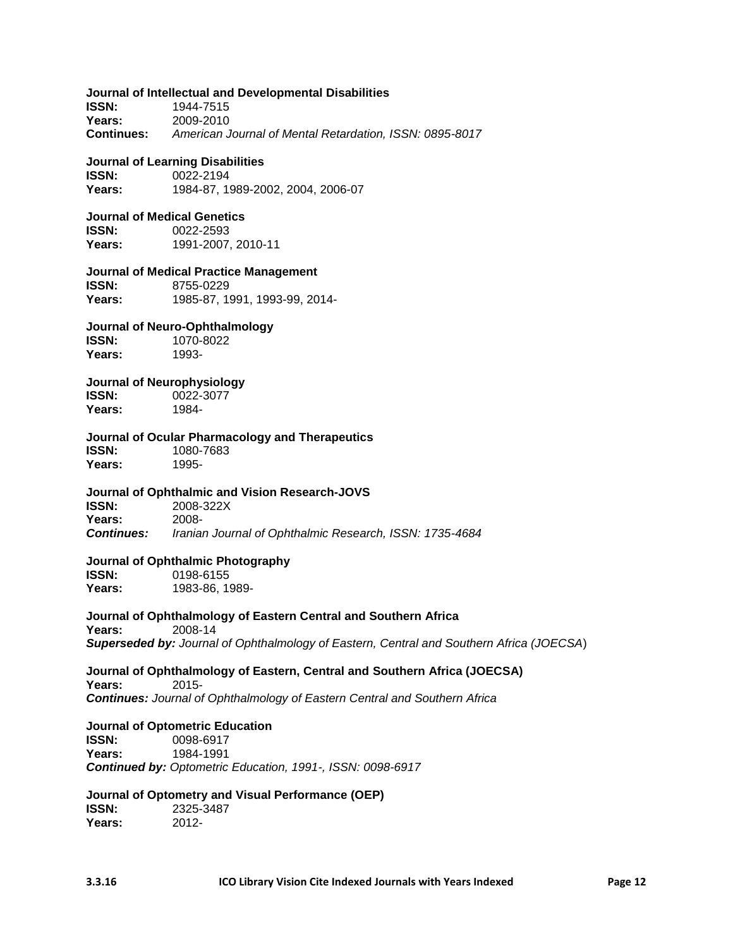#### **Journal of Intellectual and Developmental Disabilities**

**ISSN:** 1944-7515 **Years:** 2009-2010 **Continues:** *American Journal of Mental Retardation, ISSN: 0895-8017*

#### **Journal of Learning Disabilities**

**ISSN:** 0022-2194 **Years:** 1984-87, 1989-2002, 2004, 2006-07

#### **Journal of Medical Genetics**

**ISSN:** 0022-2593 **Years:** 1991-2007, 2010-11

#### **Journal of Medical Practice Management**

**ISSN:** 8755-0229 **Years:** 1985-87, 1991, 1993-99, 2014-

#### **Journal of Neuro-Ophthalmology ISSN:** 1070-8022

**Years:** 1993-

#### **Journal of Neurophysiology**

**ISSN:** 0022-3077<br>**Years:** 1984-Years:

### **Journal of Ocular Pharmacology and Therapeutics**

**ISSN:** 1080-7683 **Years:** 1995-

#### **Journal of Ophthalmic and Vision Research-JOVS**

**ISSN:** 2008-322X **Years:** 2008- *Continues: Iranian Journal of Ophthalmic Research, ISSN: 1735-4684*

#### **Journal of Ophthalmic Photography**

**ISSN:** 0198-6155 **Years:** 1983-86, 1989-

#### **Journal of Ophthalmology of Eastern Central and Southern Africa**

**Years:** 2008-14 *Superseded by: Journal of Ophthalmology of Eastern, Central and Southern Africa (JOECSA*)

#### **Journal of Ophthalmology of Eastern, Central and Southern Africa (JOECSA) Years:** 2015-

*Continues: Journal of Ophthalmology of Eastern Central and Southern Africa*

### **Journal of Optometric Education**

**ISSN:** 0098-6917 **Years:** 1984-1991 *Continued by: Optometric Education, 1991-, ISSN: 0098-6917*

### **Journal of Optometry and Visual Performance (OEP)**

**ISSN:** 2325-3487 **Years:** 2012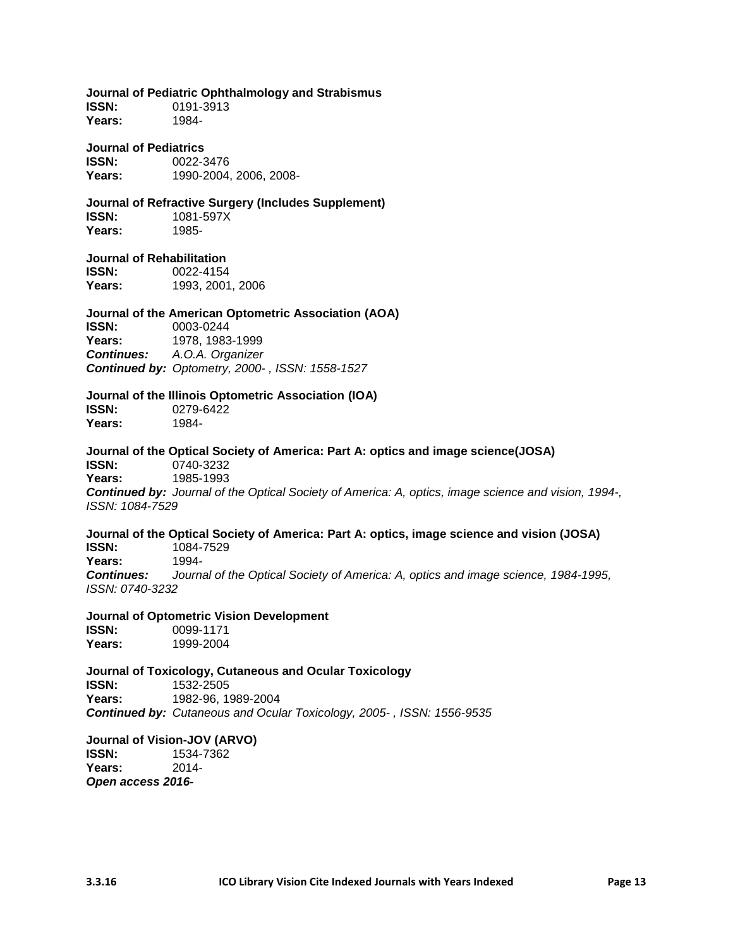**Journal of Pediatric Ophthalmology and Strabismus**

**ISSN:** 0191-3913 **Years:** 1984-

**Journal of Pediatrics**

**ISSN:** 0022-3476 **Years:** 1990-2004, 2006, 2008-

**Journal of Refractive Surgery (Includes Supplement) ISSN:** 1081-597X **Years:** 1985-

#### **Journal of Rehabilitation**

**ISSN:** 0022-4154 **Years:** 1993, 2001, 2006

#### **Journal of the American Optometric Association (AOA) ISSN:** 0003-0244

Years: 1978, 1983-1999 *Continues: A.O.A. Organizer Continued by: Optometry, 2000- , ISSN: 1558-1527*

# **Journal of the Illinois Optometric Association (IOA)**

**ISSN:** 0279-6422 **Years:** 1984-

**Journal of the Optical Society of America: Part A: optics and image science(JOSA) ISSN:** 0740-3232 **Years:** 1985-1993 *Continued by: Journal of the Optical Society of America: A, optics, image science and vision, 1994-, ISSN: 1084-7529*

### **Journal of the Optical Society of America: Part A: optics, image science and vision (JOSA) ISSN:** 1084-7529

**Years:** 1994- *Continues: Journal of the Optical Society of America: A, optics and image science, 1984-1995, ISSN: 0740-3232*

**Journal of Optometric Vision Development**

**ISSN:** 0099-1171 **Years:** 1999-2004

**Journal of Toxicology, Cutaneous and Ocular Toxicology ISSN:** 1532-2505 **Years:** 1982-96, 1989-2004 *Continued by: Cutaneous and Ocular Toxicology, 2005- , ISSN: 1556-9535*

**Journal of Vision-JOV (ARVO) ISSN:** 1534-7362 **Years:** 2014- *Open access 2016-*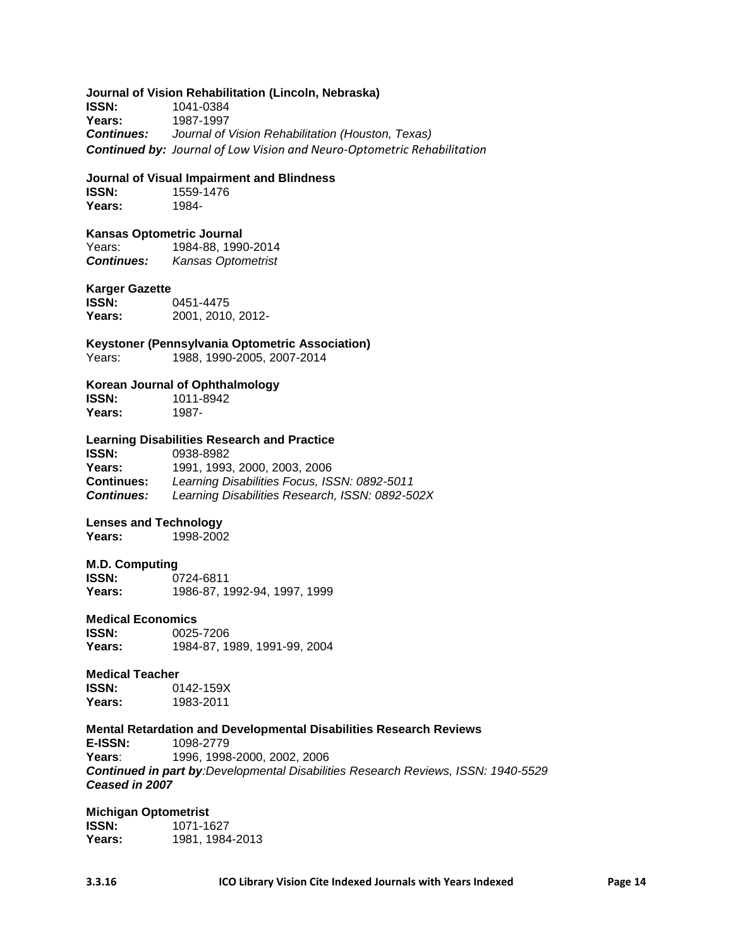#### **Journal of Vision Rehabilitation (Lincoln, Nebraska)**

**ISSN:** 1041-0384 Years: 1987-1997<br>**Continues:** Journal of *Continues: Journal of Vision Rehabilitation (Houston, Texas) Continued by: Journal of Low Vision and Neuro-Optometric Rehabilitation*

#### **Journal of Visual Impairment and Blindness**

**ISSN:** 1559-1476 **Years:** 1984-

#### **Kansas Optometric Journal**

Years: 1984-88, 1990-2014 *Continues: Kansas Optometrist*

#### **Karger Gazette**

**ISSN:** 0451-4475 **Years:** 2001, 2010, 2012-

**Keystoner (Pennsylvania Optometric Association)**

Years: 1988, 1990-2005, 2007-2014

#### **Korean Journal of Ophthalmology**

**ISSN:** 1011-8942 **Years:** 1987-

# **Learning Disabilities Research and Practice**

**ISSN:** 0938-8982 **Years:** 1991, 1993, 2000, 2003, 2006 **Continues:** *Learning Disabilities Focus, ISSN: 0892-5011 Continues: Learning Disabilities Research, ISSN: 0892-502X*

#### **Lenses and Technology**

**Years:** 1998-2002

#### **M.D. Computing**

**ISSN:** 0724-6811 **Years:** 1986-87, 1992-94, 1997, 1999

#### **Medical Economics**

**ISSN:** 0025-7206<br>**Years:** 1984-87.1 **Years:** 1984-87, 1989, 1991-99, 2004

#### **Medical Teacher**

**ISSN:** 0142-159X **Years:** 1983-2011

#### **Mental Retardation and Developmental Disabilities Research Reviews E-ISSN:** 1098-2779 **Years**: 1996, 1998-2000, 2002, 2006 *Continued in part by:Developmental Disabilities Research Reviews, ISSN: 1940-5529 Ceased in 2007*

#### **Michigan Optometrist**

**ISSN:** 1071-1627 **Years:** 1981, 1984-2013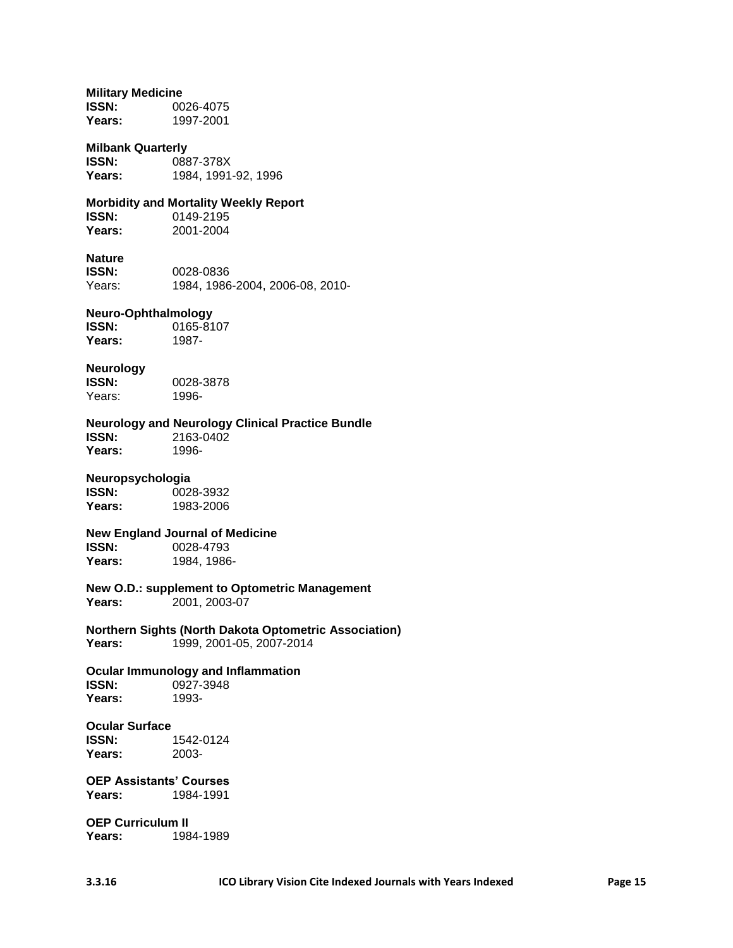#### **Military Medicine**

**ISSN:** 0026-4075 **Years:** 1997-2001

#### **Milbank Quarterly**

**ISSN:** 0887-378X **Years:** 1984, 1991-92, 1996

# **Morbidity and Mortality Weekly Report**

**ISSN:** 0149-2195<br> **Years:** 2001-2004 **Years:** 2001-2004

### **Nature**

**ISSN:** 0028-0836 Years: 1984, 1986-2004, 2006-08, 2010-

#### **Neuro-Ophthalmology**

**ISSN:** 0165-8107<br>**Years:** 1987-Years:

# **Neurology**

**ISSN:** 0028-3878 Years: 1996-

### **Neurology and Neurology Clinical Practice Bundle**

**ISSN:** 2163-0402<br>Years: 1996-Years:

#### **Neuropsychologia**

**ISSN:** 0028-3932 **Years:** 1983-2006

#### **New England Journal of Medicine ISSN:** 0028-4793

**Years:** 1984, 1986-

#### **New O.D.: supplement to Optometric Management Years:** 2001, 2003-07

**Northern Sights (North Dakota Optometric Association) Years:** 1999, 2001-05, 2007-2014

# **Ocular Immunology and Inflammation**

**ISSN:** 0927-3948 **Years:** 1993-

### **Ocular Surface ISSN:** 1542-0124

**Years:** 2003-

#### **OEP Assistants' Courses Years:** 1984-1991

**OEP Curriculum II Years:** 1984-1989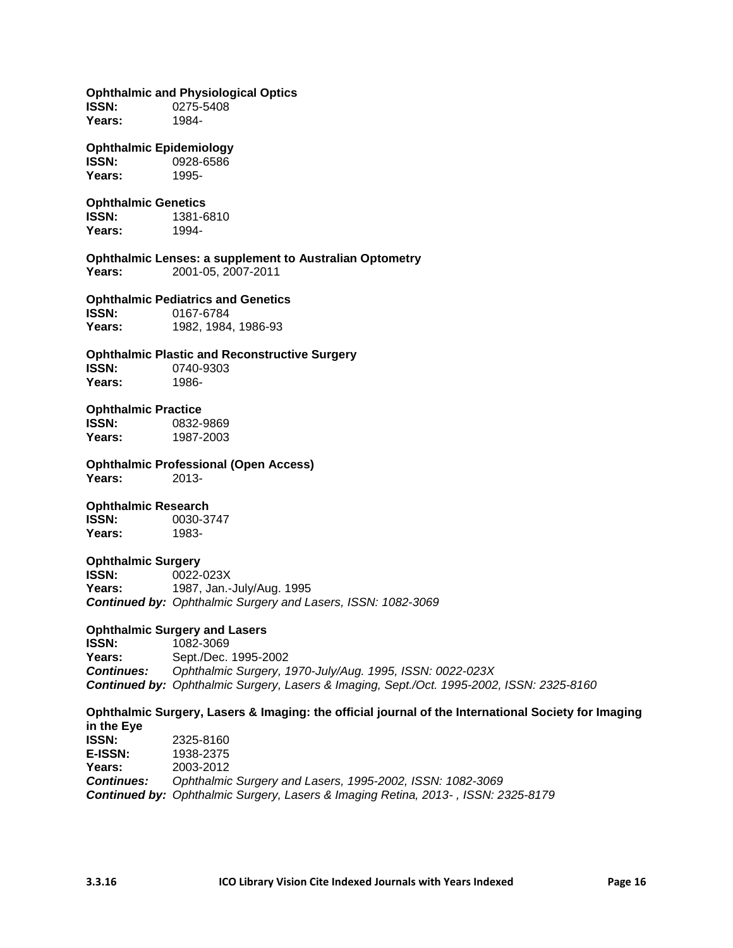**Ophthalmic and Physiological Optics ISSN:** 0275-5408 **Years:** 1984- **Ophthalmic Epidemiology ISSN:** 0928-6586 **Years:** 1995- **Ophthalmic Genetics ISSN:** 1381-6810 **Years:** 1994- **Ophthalmic Lenses: a supplement to Australian Optometry Years:** 2001-05, 2007-2011 **Ophthalmic Pediatrics and Genetics ISSN:** 0167-6784 **Years:** 1982, 1984, 1986-93 **Ophthalmic Plastic and Reconstructive Surgery ISSN:** 0740-9303 **Years:** 1986- **Ophthalmic Practice ISSN:** 0832-9869 **Years:** 1987-2003 **Ophthalmic Professional (Open Access) Years:** 2013- **Ophthalmic Research ISSN:** 0030-3747 **Years:** 1983- **Ophthalmic Surgery ISSN:** 0022-023X **Years:** 1987, Jan.-July/Aug. 1995 *Continued by: Ophthalmic Surgery and Lasers, ISSN: 1082-3069* **Ophthalmic Surgery and Lasers ISSN:** 1082-3069 **Years:** Sept./Dec. 1995-2002 *Continues: Ophthalmic Surgery, 1970-July/Aug. 1995, ISSN: 0022-023X Continued by: Ophthalmic Surgery, Lasers & Imaging, Sept./Oct. 1995-2002, ISSN: 2325-8160* **Ophthalmic Surgery, Lasers & Imaging: the official journal of the International Society for Imaging in the Eye ISSN:** 2325-8160 **E-ISSN:** [1938-2375](http://laurel.lso.missouri.edu/search~S8/t?Ophthalmic+surgery%2C+lasers+%26+imaging+%28Online%29) **Years:** 2003-2012 *Continues: Ophthalmic Surgery and Lasers, 1995-2002, ISSN: 1082-3069 Continued by: Ophthalmic Surgery, Lasers & Imaging Retina, 2013- , ISSN: 2325-8179*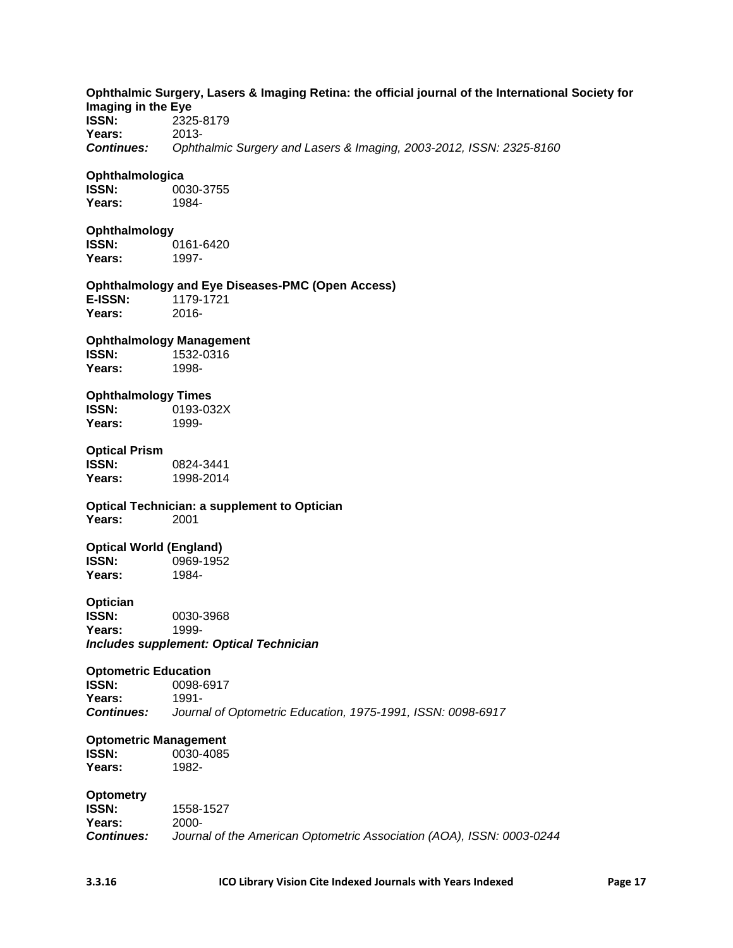| Imaging in the Eye<br><b>ISSN:</b><br>Years:<br><b>Continues:</b>          | Ophthalmic Surgery, Lasers & Imaging Retina: the official journal of the International Society for<br>2325-8179<br>2013-<br>Ophthalmic Surgery and Lasers & Imaging, 2003-2012, ISSN: 2325-8160 |
|----------------------------------------------------------------------------|-------------------------------------------------------------------------------------------------------------------------------------------------------------------------------------------------|
| Ophthalmologica<br><b>ISSN:</b><br>Years:                                  | 0030-3755<br>1984-                                                                                                                                                                              |
| Ophthalmology<br><b>ISSN:</b><br>Years:                                    | 0161-6420<br>1997-                                                                                                                                                                              |
| E-ISSN:<br>Years:                                                          | <b>Ophthalmology and Eye Diseases-PMC (Open Access)</b><br>1179-1721<br>$2016 -$                                                                                                                |
| <b>Ophthalmology Management</b><br><b>ISSN:</b><br>Years:                  | 1532-0316<br>1998-                                                                                                                                                                              |
| <b>Ophthalmology Times</b><br><b>ISSN:</b><br>Years:                       | 0193-032X<br>1999-                                                                                                                                                                              |
| <b>Optical Prism</b><br><b>ISSN:</b><br>Years:                             | 0824-3441<br>1998-2014                                                                                                                                                                          |
| Years:                                                                     | <b>Optical Technician: a supplement to Optician</b><br>2001                                                                                                                                     |
| <b>Optical World (England)</b><br><b>ISSN:</b><br>Years:                   | 0969-1952<br>1984-                                                                                                                                                                              |
| Optician<br>ISSN:<br>Years:                                                | 0030-3968<br>1999-<br><b>Includes supplement: Optical Technician</b>                                                                                                                            |
| <b>Optometric Education</b><br><b>ISSN:</b><br>Years:<br><b>Continues:</b> | 0098-6917<br>1991-<br>Journal of Optometric Education, 1975-1991, ISSN: 0098-6917                                                                                                               |
| <b>Optometric Management</b><br><b>ISSN:</b><br>Years:                     | 0030-4085<br>1982-                                                                                                                                                                              |
| <b>Optometry</b><br><b>ISSN:</b><br>Years:<br><b>Continues:</b>            | 1558-1527<br>2000-<br>Journal of the American Optometric Association (AOA), ISSN: 0003-0244                                                                                                     |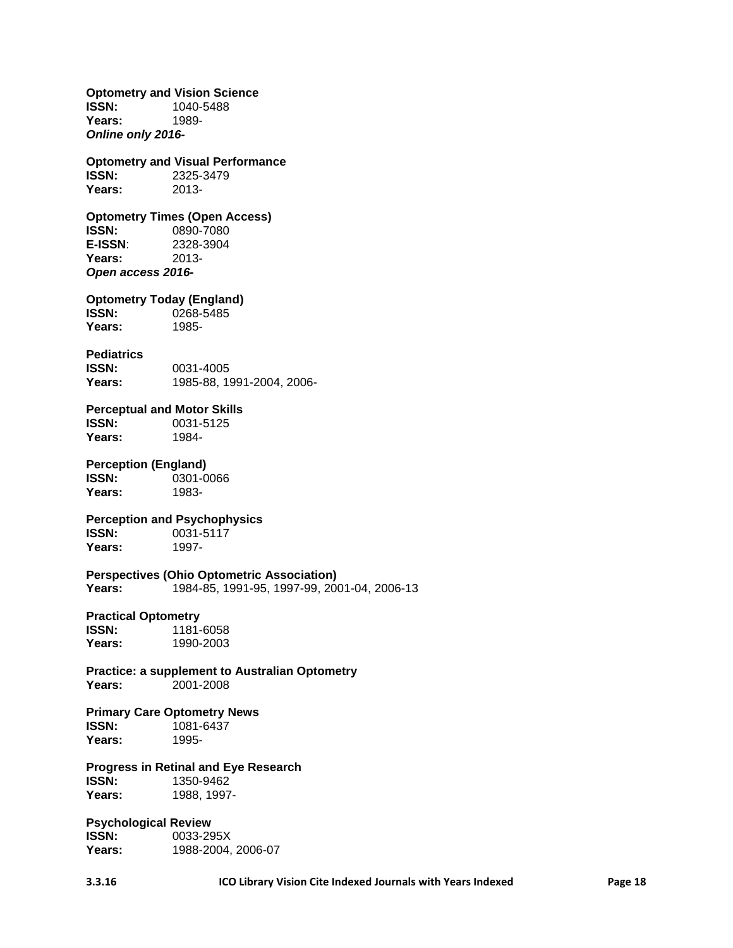**Optometry and Vision Science ISSN:** 1040-5488 **Years:** 1989- *Online only 2016-* **Optometry and Visual Performance ISSN:** 2325-3479 **Years:** 2013- **Optometry Times (Open Access) ISSN:** 0890-7080 **E-ISSN**: 2328-3904 Years: *Open access 2016-* **Optometry Today (England) ISSN:** 0268-5485 **Years:** 1985- **Pediatrics ISSN:** 0031-4005 **Years:** 1985-88, 1991-2004, 2006- **Perceptual and Motor Skills ISSN:** 0031-5125 **Years:** 1984- **Perception (England) ISSN:** 0301-0066 **Years:** 1983- **Perception and Psychophysics**<br>**ISSN:** 0031-5117 0031-5117<br>1997-Years: **Perspectives (Ohio Optometric Association) Years:** 1984-85, 1991-95, 1997-99, 2001-04, 2006-13 **Practical Optometry ISSN:** 1181-6058 **Years:** 1990-2003 **Practice: a supplement to Australian Optometry Years:** 2001-2008 **Primary Care Optometry News ISSN:** 1081-6437 **Years:** 1995- **Progress in Retinal and Eye Research ISSN:** 1350-9462 **Years:** 1988, 1997- **Psychological Review ISSN:** 0033-295X **Years:** 1988-2004, 2006-07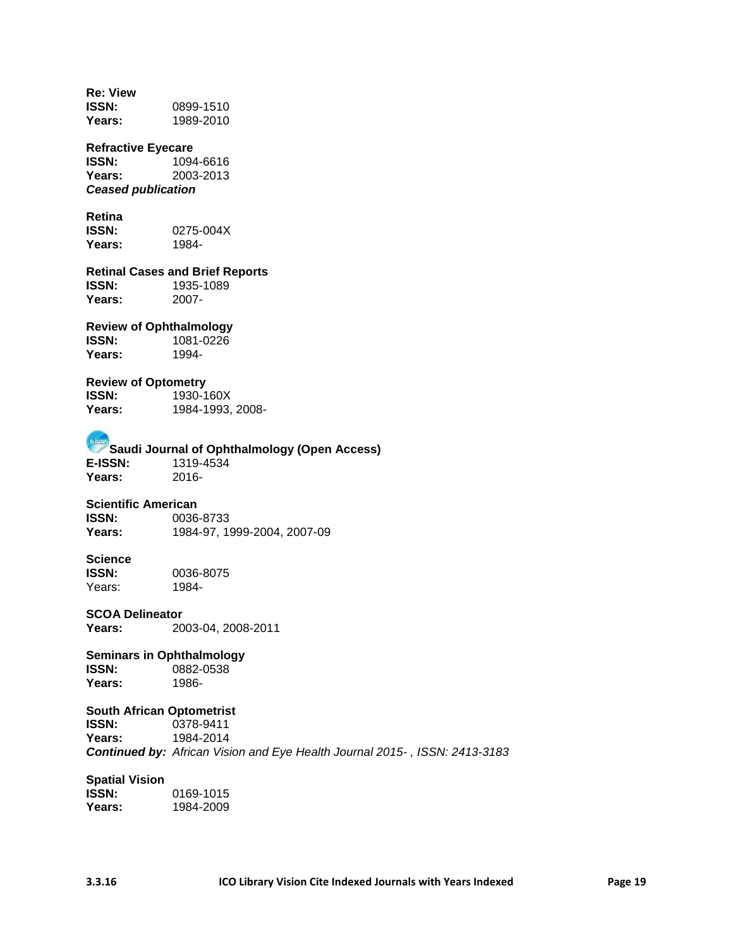**Re: View ISSN:** 0899-1510 **Years:** 1989-2010 **Refractive Eyecare ISSN:** 1094-6616 **Years:** 2003-2013 *Ceased publication* **Retina**<br>**ISSN: ISSN:** 0275-004X **Years:** 1984- **Retinal Cases and Brief Reports ISSN:** 1935-1089 Years: **Review of Ophthalmology ISSN:** 1081-0226 **Years:** 1994- **Review of Optometry ISSN:** 1930-160X<br>**Years:** 1984-1993. **Years:** 1984-1993, 2008- **Saudi Journal of Ophthalmology (Open Access)**<br>E-ISSN: 1319-4534 **E-ISSN:** 1319-4534 **Years:** 2016- **Scientific American ISSN:** 0036-8733 **Years:** 1984-97, 1999-2004, 2007-09 Science<br>**ISSN:** 0036-8075<br>1984-Years: **SCOA Delineator Years:** 2003-04, 2008-2011 **Seminars in Ophthalmology ISSN:** 0882-0538 **Years:** 1986- **South African Optometrist ISSN:** 0378-9411<br>**Years:** 1984-2014 **Years:** 1984-2014 *Continued by: African Vision and Eye Health Journal 2015- , ISSN: 2413-3183* **Spatial Vision ISSN:** 0169-1015

**Years:** 1984-2009